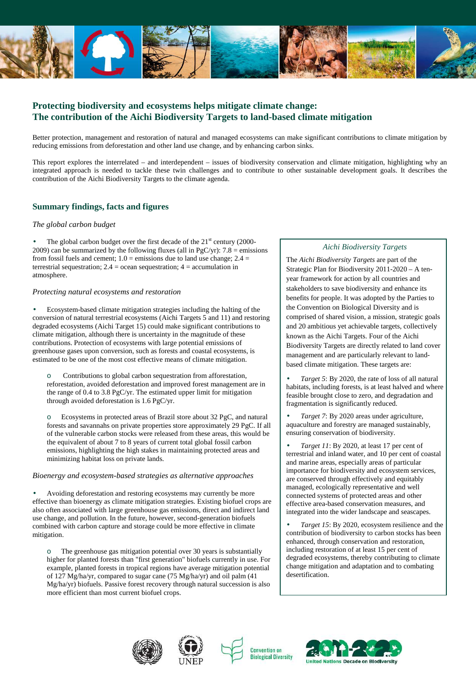

# **Protecting biodiversity and ecosystems helps mitigate climate change: The contribution of the Aichi Biodiversity Targets to land-based climate mitigation**

Better protection, management and restoration of natural and managed ecosystems can make significant contributions to climate mitigation by reducing emissions from deforestation and other land use change, and by enhancing carbon sinks.

This report explores the interrelated – and interdependent – issues of biodiversity conservation and climate mitigation, highlighting why an integrated approach is needed to tackle these twin challenges and to contribute to other sustainable development goals. It describes the contribution of the Aichi Biodiversity Targets to the climate agenda.

# **Summary findings, facts and figures**

## *The global carbon budget*

The global carbon budget over the first decade of the  $21<sup>st</sup>$  century (2000-2009) can be summarized by the following fluxes (all in PgC/yr):  $7.8 =$  emissions from fossil fuels and cement;  $1.0 =$  emissions due to land use change;  $2.4 =$ terrestrial sequestration;  $2.4$  = ocean sequestration;  $4$  = accumulation in atmosphere.

### *Protecting natural ecosystems and restoration*

• Ecosystem-based climate mitigation strategies including the halting of the conversion of natural terrestrial ecosystems (Aichi Targets 5 and 11) and restoring degraded ecosystems (Aichi Target 15) could make significant contributions to climate mitigation, although there is uncertainty in the magnitude of these contributions. Protection of ecosystems with large potential emissions of greenhouse gases upon conversion, such as forests and coastal ecosystems, is estimated to be one of the most cost effective means of climate mitigation.

Contributions to global carbon sequestration from afforestation, reforestation, avoided deforestation and improved forest management are in the range of 0.4 to 3.8 PgC/yr. The estimated upper limit for mitigation through avoided deforestation is 1.6 PgC/yr.

o Ecosystems in protected areas of Brazil store about 32 PgC, and natural forests and savannahs on private properties store approximately 29 PgC. If all of the vulnerable carbon stocks were released from these areas, this would be the equivalent of about 7 to 8 years of current total global fossil carbon emissions, highlighting the high stakes in maintaining protected areas and minimizing habitat loss on private lands.

## *Bioenergy and ecosystem-based strategies as alternative approaches*

• Avoiding deforestation and restoring ecosystems may currently be more effective than bioenergy as climate mitigation strategies. Existing biofuel crops are also often associated with large greenhouse gas emissions, direct and indirect land use change, and pollution. In the future, however, second-generation biofuels combined with carbon capture and storage could be more effective in climate mitigation.

The greenhouse gas mitigation potential over 30 years is substantially higher for planted forests than "first generation" biofuels currently in use. For example, planted forests in tropical regions have average mitigation potential of 127 Mg/ha/yr, compared to sugar cane (75 Mg/ha/yr) and oil palm (41 Mg/ha/yr) biofuels. Passive forest recovery through natural succession is also more efficient than most current biofuel crops.

# *Aichi Biodiversity Targets*

The *Aichi Biodiversity Targets* are part of the Strategic Plan for Biodiversity 2011-2020 – A tenyear framework for action by all countries and stakeholders to save biodiversity and enhance its benefits for people. It was adopted by the Parties to the Convention on Biological Diversity and is comprised of shared vision, a mission, strategic goals and 20 ambitious yet achievable targets, collectively known as the Aichi Targets. Four of the Aichi Biodiversity Targets are directly related to land cover management and are particularly relevant to landbased climate mitigation. These targets are:

• *Target 5*: By 2020, the rate of loss of all natural habitats, including forests, is at least halved and where feasible brought close to zero, and degradation and fragmentation is significantly reduced.

• *Target 7*: By 2020 areas under agriculture, aquaculture and forestry are managed sustainably, ensuring conservation of biodiversity.

• *Target 11*: By 2020, at least 17 per cent of terrestrial and inland water, and 10 per cent of coastal and marine areas, especially areas of particular importance for biodiversity and ecosystem services, are conserved through effectively and equitably managed, ecologically representative and well connected systems of protected areas and other effective area-based conservation measures, and integrated into the wider landscape and seascapes.

• *Target 15*: By 2020, ecosystem resilience and the contribution of biodiversity to carbon stocks has been enhanced, through conservation and restoration, including restoration of at least 15 per cent of degraded ecosystems, thereby contributing to climate change mitigation and adaptation and to combating desertification.